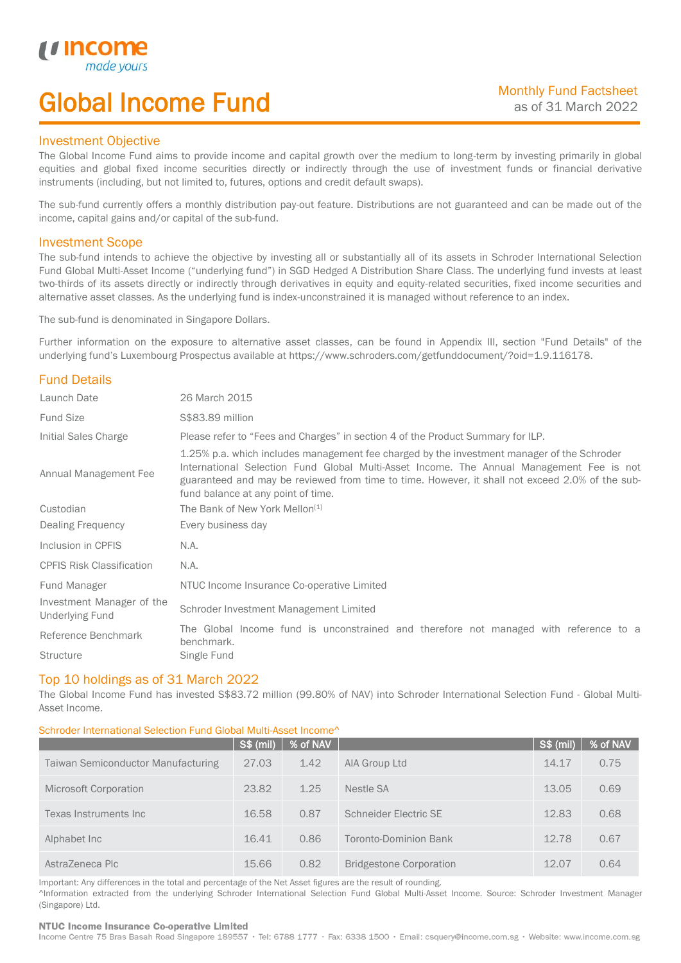# Global Income Fund

## Investment Objective

u incor

I

The Global Income Fund aims to provide income and capital growth over the medium to long-term by investing primarily in global equities and global fixed income securities directly or indirectly through the use of investment funds or financial derivative instruments (including, but not limited to, futures, options and credit default swaps).

The sub-fund currently offers a monthly distribution pay-out feature. Distributions are not guaranteed and can be made out of the income, capital gains and/or capital of the sub-fund.

## Investment Scope

The sub-fund intends to achieve the objective by investing all or substantially all of its assets in Schroder International Selection Fund Global Multi-Asset Income ("underlying fund") in SGD Hedged A Distribution Share Class. The underlying fund invests at least two-thirds of its assets directly or indirectly through derivatives in equity and equity-related securities, fixed income securities and alternative asset classes. As the underlying fund is index-unconstrained it is managed without reference to an index.

The sub-fund is denominated in Singapore Dollars.

Further information on the exposure to alternative asset classes, can be found in Appendix III, section "Fund Details" of the underlying fund's Luxembourg Prospectus available at https://www.schroders.com/getfunddocument/?oid=1.9.116178.

# Fund Details

| Launch Date                                         | 26 March 2015                                                                                                                                                                                                                                                                                                                   |  |  |  |
|-----------------------------------------------------|---------------------------------------------------------------------------------------------------------------------------------------------------------------------------------------------------------------------------------------------------------------------------------------------------------------------------------|--|--|--|
| <b>Fund Size</b>                                    | \$\$83.89 million                                                                                                                                                                                                                                                                                                               |  |  |  |
| Initial Sales Charge                                | Please refer to "Fees and Charges" in section 4 of the Product Summary for ILP.                                                                                                                                                                                                                                                 |  |  |  |
| Annual Management Fee                               | 1.25% p.a. which includes management fee charged by the investment manager of the Schroder<br>International Selection Fund Global Multi-Asset Income. The Annual Management Fee is not<br>guaranteed and may be reviewed from time to time. However, it shall not exceed 2.0% of the sub-<br>fund balance at any point of time. |  |  |  |
| Custodian                                           | The Bank of New York Mellon <sup>[1]</sup>                                                                                                                                                                                                                                                                                      |  |  |  |
| Dealing Frequency                                   | Every business day                                                                                                                                                                                                                                                                                                              |  |  |  |
| Inclusion in CPFIS                                  | N.A.                                                                                                                                                                                                                                                                                                                            |  |  |  |
| <b>CPFIS Risk Classification</b>                    | N.A.                                                                                                                                                                                                                                                                                                                            |  |  |  |
| Fund Manager                                        | NTUC Income Insurance Co-operative Limited                                                                                                                                                                                                                                                                                      |  |  |  |
| Investment Manager of the<br><b>Underlying Fund</b> | Schroder Investment Management Limited                                                                                                                                                                                                                                                                                          |  |  |  |
| Reference Benchmark                                 | The Global Income fund is unconstrained and therefore not managed with reference to a<br>benchmark.                                                                                                                                                                                                                             |  |  |  |
| <b>Structure</b>                                    | Single Fund                                                                                                                                                                                                                                                                                                                     |  |  |  |

## Top 10 holdings as of 31 March 2022

The Global Income Fund has invested S\$83.72 million (99.80% of NAV) into Schroder International Selection Fund - Global Multi-Asset Income.

#### Schroder International Selection Fund Global Multi-Asset Income^

|                                    | <b>S\$ (mil)</b> | % of NAV |                                | S\$ (mil) | % of NAV |
|------------------------------------|------------------|----------|--------------------------------|-----------|----------|
| Taiwan Semiconductor Manufacturing | 27.03            | 1.42     | AIA Group Ltd                  | 14.17     | 0.75     |
| Microsoft Corporation              | 23.82            | 1.25     | Nestle SA                      | 13.05     | 0.69     |
| Texas Instruments Inc              | 16.58            | 0.87     | Schneider Electric SE          | 12.83     | 0.68     |
| Alphabet Inc                       | 16.41            | 0.86     | Toronto-Dominion Bank          | 12.78     | 0.67     |
| AstraZeneca Plc                    | 15.66            | 0.82     | <b>Bridgestone Corporation</b> | 12.07     | 0.64     |

Important: Any differences in the total and percentage of the Net Asset figures are the result of rounding. ^Information extracted from the underlying Schroder International Selection Fund Global Multi-Asset Income. Source: Schroder Investment Manager (Singapore) Ltd.

#### NTUC Income Insurance Co-operative Limited

Income Centre 75 Bras Basah Road Singapore 189557 · Tel: 6788 1777 · Fax: 6338 1500 · Email: csquery@income.com.sg · Website: www.income.com.sg